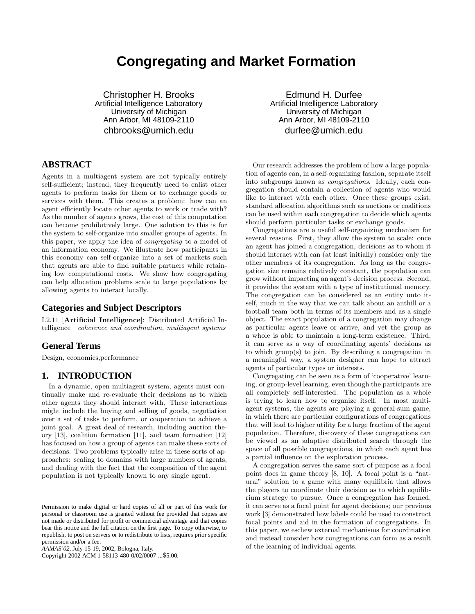# **Congregating and Market Formation**

Christopher H. Brooks Artificial Intelligence Laboratory University of Michigan Ann Arbor, MI 48109-2110 chbrooks@umich.edu

# **ABSTRACT**

Agents in a multiagent system are not typically entirely self-sufficient; instead, they frequently need to enlist other agents to perform tasks for them or to exchange goods or services with them. This creates a problem: how can an agent efficiently locate other agents to work or trade with? As the number of agents grows, the cost of this computation can become prohibitively large. One solution to this is for the system to self-organize into smaller groups of agents. In this paper, we apply the idea of congregating to a model of an information economy. We illustrate how participants in this economy can self-organize into a set of markets such that agents are able to find suitable partners while retaining low computational costs. We show how congregating can help allocation problems scale to large populations by allowing agents to interact locally.

#### **Categories and Subject Descriptors**

I.2.11 [Artificial Intelligence]: Distributed Artificial Intelligence—coherence and coordination, multiagent systems

### **General Terms**

Design, economics,performance

### **1. INTRODUCTION**

In a dynamic, open multiagent system, agents must continually make and re-evaluate their decisions as to which other agents they should interact with. These interactions might include the buying and selling of goods, negotiation over a set of tasks to perform, or cooperation to achieve a joint goal. A great deal of research, including auction theory [13], coalition formation [11], and team formation [12] has focused on how a group of agents can make these sorts of decisions. Two problems typically arise in these sorts of approaches: scaling to domains with large numbers of agents, and dealing with the fact that the composition of the agent population is not typically known to any single agent.

Copyright 2002 ACM 1-58113-480-0/02/0007 ...\$5.00.

Edmund H. Durfee Artificial Intelligence Laboratory University of Michigan Ann Arbor, MI 48109-2110 durfee@umich.edu

Our research addresses the problem of how a large population of agents can, in a self-organizing fashion, separate itself into subgroups known as congregations. Ideally, each congregation should contain a collection of agents who would like to interact with each other. Once these groups exist, standard allocation algorithms such as auctions or coalitions can be used within each congregation to decide which agents should perform particular tasks or exchange goods.

Congregations are a useful self-organizing mechanism for several reasons. First, they allow the system to scale: once an agent has joined a congregation, decisions as to whom it should interact with can (at least initially) consider only the other members of its congregation. As long as the congregation size remains relatively constant, the population can grow without impacting an agent's decision process. Second, it provides the system with a type of institutional memory. The congregation can be considered as an entity unto itself, much in the way that we can talk about an anthill or a football team both in terms of its members and as a single object. The exact population of a congregation may change as particular agents leave or arrive, and yet the group as a whole is able to maintain a long-term existence. Third, it can serve as a way of coordinating agents' decisions as to which group(s) to join. By describing a congregation in a meaningful way, a system designer can hope to attract agents of particular types or interests.

Congregating can be seen as a form of 'cooperative' learning, or group-level learning, even though the participants are all completely self-interested. The population as a whole is trying to learn how to organize itself. In most multiagent systems, the agents are playing a general-sum game, in which there are particular configurations of congregations that will lead to higher utility for a large fraction of the agent population. Therefore, discovery of these congregations can be viewed as an adaptive distributed search through the space of all possible congregations, in which each agent has a partial influence on the exploration process.

A congregation serves the same sort of purpose as a focal point does in game theory [8, 10]. A focal point is a "natural" solution to a game with many equilibria that allows the players to coordinate their decision as to which equilibrium strategy to pursue. Once a congregation has formed, it can serve as a focal point for agent decisions; our previous work [3] demonstrated how labels could be used to construct focal points and aid in the formation of congregations. In this paper, we eschew external mechanisms for coordination and instead consider how congregations can form as a result of the learning of individual agents.

Permission to make digital or hard copies of all or part of this work for personal or classroom use is granted without fee provided that copies are not made or distributed for profit or commercial advantage and that copies bear this notice and the full citation on the first page. To copy otherwise, to republish, to post on servers or to redistribute to lists, requires prior specific permission and/or a fee.

*AAMAS'02,* July 15-19, 2002, Bologna, Italy.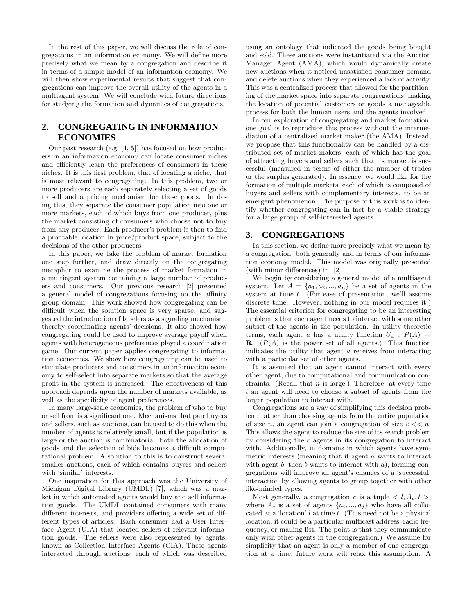In the rest of this paper, we will discuss the role of congregations in an information economy. We will define more precisely what we mean by a congregation and describe it in terms of a simple model of an information economy. We will then show experimental results that suggest that congregations can improve the overall utility of the agents in a multiagent system. We will conclude with future directions for studying the formation and dynamics of congregations.

# **2. CONGREGATING IN INFORMATION ECONOMIES**

Our past research (e.g. [4, 5]) has focused on how producers in an information economy can locate consumer niches and efficiently learn the preferences of consumers in these niches. It is this first problem, that of locating a niche, that is most relevant to congregating. In this problem, two or more producers are each separately selecting a set of goods to sell and a pricing mechanism for these goods. In doing this, they separate the consumer population into one or more markets, each of which buys from one producer, plus the market consisting of consumers who choose not to buy from any producer. Each producer's problem is then to find a profitable location in price/product space, subject to the decisions of the other producers.

In this paper, we take the problem of market formation one step further, and draw directly on the congregating metaphor to examine the process of market formation in a multiagent system containing a large number of producers and consumers. Our previous research [2] presented a general model of congregations focusing on the affinity group domain. This work showed how congregating can be difficult when the solution space is very sparse, and suggested the introduction of labelers as a signaling mechanism, thereby coordinating agents' decisions. It also showed how congregating could be used to improve average payoff when agents with heterogeneous preferences played a coordination game. Our current paper applies congregating to information economies. We show how congregating can be used to stimulate producers and consumers in an information economy to self-select into separate markets so that the average profit in the system is increased. The effectiveness of this approach depends upon the number of markets available, as well as the specificity of agent preferences.

In many large-scale economies, the problem of who to buy or sell from is a significant one. Mechanisms that pair buyers and sellers, such as auctions, can be used to do this when the number of agents is relatively small, but if the population is large or the auction is combinatorial, both the allocation of goods and the selection of bids becomes a difficult computational problem. A solution to this is to construct several smaller auctions, each of which contains buyers and sellers with 'similar' interests.

One inspiration for this approach was the University of Michigan Digital Library (UMDL) [7], which was a market in which automated agents would buy and sell information goods. The UMDL contained consumers with many different interests, and providers offering a wide set of different types of articles. Each consumer had a User Interface Agent (UIA) that located sellers of relevant information goods. The sellers were also represented by agents, known as Collection Interface Agents (CIA). These agents interacted through auctions, each of which was described using an ontology that indicated the goods being bought and sold. These auctions were instantiated via the Auction Manager Agent (AMA), which would dynamically create new auctions when it noticed unsatisfied consumer demand and delete auctions when they experienced a lack of activity. This was a centralized process that allowed for the partitioning of the market space into separate congregations, making the location of potential customers or goods a manageable process for both the human users and the agents involved.

In our exploration of congregating and market formation, one goal is to reproduce this process without the intermediation of a centralized market maker (the AMA). Instead, we propose that this functionality can be handled by a distributed set of market makers, each of which has the goal of attracting buyers and sellers such that its market is successful (measured in terms of either the number of trades or the surplus generated). In essence, we would like for the formation of multiple markets, each of which is composed of buyers and sellers with complementary interests, to be an emergent phenomenon. The purpose of this work is to identify whether congregating can in fact be a viable strategy for a large group of self-interested agents.

# **3. CONGREGATIONS**

In this section, we define more precisely what we mean by a congregation, both generally and in terms of our information economy model. This model was originally presented (with minor differences) in [2].

We begin by considering a general model of a multiagent system. Let  $A = \{a_1, a_2, ..., a_n\}$  be a set of agents in the system at time  $t$ . (For ease of presentation, we'll assume discrete time. However, nothing in our model requires it.) The essential criterion for congregating to be an interesting problem is that each agent needs to interact with some other subset of the agents in the population. In utility-theoretic terms, each agent a has a utility function  $U_a : P(A) \rightarrow$ **R.**  $(P(A)$  is the power set of all agents.) This function indicates the utility that agent a receives from interacting with a particular set of other agents.

It is assumed that an agent cannot interact with every other agent, due to computational and communication constraints. (Recall that  $n$  is large.) Therefore, at every time t an agent will need to choose a subset of agents from the larger population to interact with.

Congregations are a way of simplifying this decision problem; rather than choosing agents from the entire population of size n, an agent can join a congregation of size  $c \ll n$ . This allows the agent to reduce the size of its search problem by considering the c agents in its congregation to interact with. Additionally, in domains in which agents have symmetric interests (meaning that if agent a wants to interact with agent  $b$ , then  $b$  wants to interact with  $a$ ), forming congregations will improve an agent's chances of a 'successful' interaction by allowing agents to group together with other like-minded types.

Most generally, a congregation c is a tuple  $\langle l, A_c, t \rangle$ , where  $A_c$  is a set of agents  $\{a_i, ..., a_j\}$  who have all collocated at a 'location' l at time t. (This need not be a physical location; it could be a particular multicast address, radio frequency, or mailing list. The point is that they communicate only with other agents in the congregation.) We assume for simplicity that an agent is only a member of one congregation at a time; future work will relax this assumption. A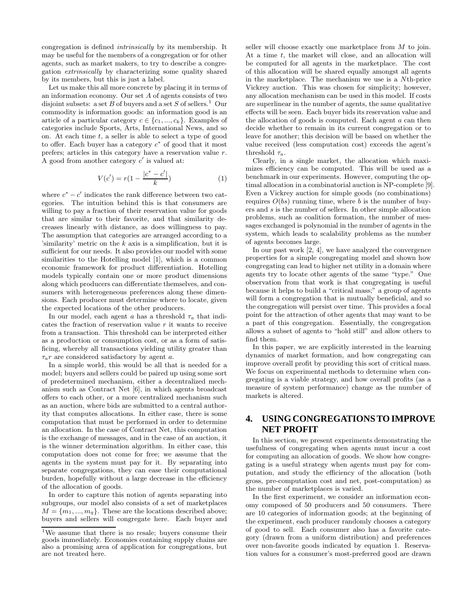congregation is defined intrinsically by its membership. It may be useful for the members of a congregation or for other agents, such as market makers, to try to describe a congregation extrinsically by characterizing some quality shared by its members, but this is just a label.

Let us make this all more concrete by placing it in terms of an information economy. Our set A of agents consists of two disjoint subsets: a set B of buyers and a set S of sellers.<sup>1</sup> Our commodity is information goods: an information good is an article of a particular category  $c \in \{c_1, ..., c_k\}$ . Examples of categories include Sports, Arts, International News, and so on. At each time  $t$ , a seller is able to select a type of good to offer. Each buyer has a category  $c^*$  of good that it most prefers; articles in this category have a reservation value r. A good from another category  $c'$  is valued at:

$$
V(c') = r(1 - \frac{|c^* - c'|}{k})
$$
\n(1)

where  $c^* - c'$  indicates the rank difference between two categories. The intuition behind this is that consumers are willing to pay a fraction of their reservation value for goods that are similar to their favorite, and that similarity decreases linearly with distance, as does willingness to pay. The assumption that categories are arranged according to a 'similarity' metric on the  $k$  axis is a simplification, but it is sufficient for our needs. It also provides our model with some similarities to the Hotelling model [1], which is a common economic framework for product differentiation. Hotelling models typically contain one or more product dimensions along which producers can differentiate themselves, and consumers with heterogeneous preferences along these dimensions. Each producer must determine where to locate, given the expected locations of the other producers.

In our model, each agent a has a threshold  $\tau_a$  that indicates the fraction of reservation value  $r$  it wants to receive from a transaction. This threshold can be interpreted either as a production or consumption cost, or as a form of satisficing, whereby all transactions yielding utility greater than  $\tau_a r$  are considered satisfactory by agent a.

In a simple world, this would be all that is needed for a model; buyers and sellers could be paired up using some sort of predetermined mechanism, either a decentralized mechanism such as Contract Net [6], in which agents broadcast offers to each other, or a more centralized mechanism such as an auction, where bids are submitted to a central authority that computes allocations. In either case, there is some computation that must be performed in order to determine an allocation. In the case of Contract Net, this computation is the exchange of messages, and in the case of an auction, it is the winner determination algorithm. In either case, this computation does not come for free; we assume that the agents in the system must pay for it. By separating into separate congregations, they can ease their computational burden, hopefully without a large decrease in the efficiency of the allocation of goods.

In order to capture this notion of agents separating into subgroups, our model also consists of a set of marketplaces  $M = \{m_1, ..., m_q\}$ . These are the locations described above; buyers and sellers will congregate here. Each buyer and seller will choose exactly one marketplace from M to join. At a time t, the market will close, and an allocation will be computed for all agents in the marketplace. The cost of this allocation will be shared equally amongst all agents in the marketplace. The mechanism we use is a Nth-price Vickrey auction. This was chosen for simplicity; however, any allocation mechanism can be used in this model. If costs are superlinear in the number of agents, the same qualitative effects will be seen. Each buyer bids its reservation value and the allocation of goods is computed. Each agent a can then decide whether to remain in its current congregation or to leave for another; this decision will be based on whether the value received (less computation cost) exceeds the agent's threshold  $\tau_a$ .

Clearly, in a single market, the allocation which maximizes efficiency can be computed. This will be used as a benchmark in our experiments. However, computing the optimal allocation in a combinatorial auction is NP-complete [9]. Even a Vickrey auction for simple goods (no combinations) requires  $O(bs)$  running time, where b is the number of buyers and s is the number of sellers. In other simple allocation problems, such as coalition formation, the number of messages exchanged is polynomial in the number of agents in the system, which leads to scalability problems as the number of agents becomes large.

In our past work [2, 4], we have analyzed the convergence properties for a simple congregating model and shown how congregating can lead to higher net utility in a domain where agents try to locate other agents of the same "type." One observation from that work is that congregating is useful because it helps to build a "critical mass;" a group of agents will form a congregation that is mutually beneficial, and so the congregation will persist over time. This provides a focal point for the attraction of other agents that may want to be a part of this congregation. Essentially, the congregation allows a subset of agents to "hold still" and allow others to find them.

In this paper, we are explicitly interested in the learning dynamics of market formation, and how congregating can improve overall profit by providing this sort of critical mass. We focus on experimental methods to determine when congregating is a viable strategy, and how overall profits (as a measure of system performance) change as the number of markets is altered.

# **4. USING CONGREGATIONS TO IMPROVE NET PROFIT**

In this section, we present experiments demonstrating the usefulness of congregating when agents must incur a cost for computing an allocation of goods. We show how congregating is a useful strategy when agents must pay for computation, and study the efficiency of the allocation (both gross, pre-computation cost and net, post-computation) as the number of marketplaces is varied.

In the first experiment, we consider an information economy composed of 50 producers and 50 consumers. There are 10 categories of information goods; at the beginning of the experiment, each producer randomly chooses a category of good to sell. Each consumer also has a favorite category (drawn from a uniform distribution) and preferences over non-favorite goods indicated by equation 1. Reservation values for a consumer's most-preferred good are drawn

<sup>&</sup>lt;sup>1</sup>We assume that there is no resale; buyers consume their goods immediately. Economies containing supply chains are also a promising area of application for congregations, but are not treated here.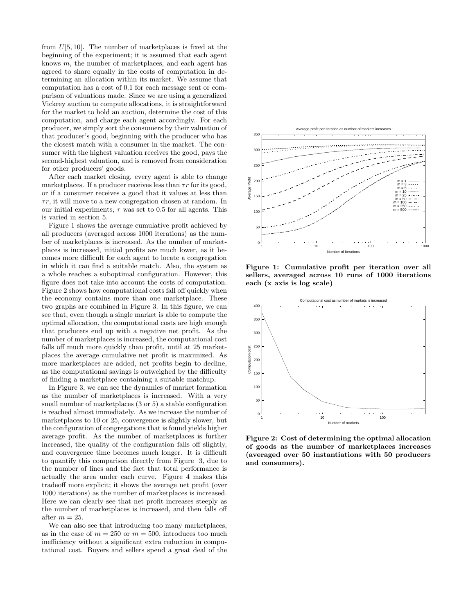from  $U[5, 10]$ . The number of marketplaces is fixed at the beginning of the experiment; it is assumed that each agent knows m, the number of marketplaces, and each agent has agreed to share equally in the costs of computation in determining an allocation within its market. We assume that computation has a cost of 0.1 for each message sent or comparison of valuations made. Since we are using a generalized Vickrey auction to compute allocations, it is straightforward for the market to hold an auction, determine the cost of this computation, and charge each agent accordingly. For each producer, we simply sort the consumers by their valuation of that producer's good, beginning with the producer who has the closest match with a consumer in the market. The consumer with the highest valuation receives the good, pays the second-highest valuation, and is removed from consideration for other producers' goods.

After each market closing, every agent is able to change marketplaces. If a producer receives less than  $\tau r$  for its good, or if a consumer receives a good that it values at less than  $\tau r$ , it will move to a new congregation chosen at random. In our initial experiments,  $\tau$  was set to 0.5 for all agents. This is varied in section 5.

Figure 1 shows the average cumulative profit achieved by all producers (averaged across 1000 iterations) as the number of marketplaces is increased. As the number of marketplaces is increased, initial profits are much lower, as it becomes more difficult for each agent to locate a congregation in which it can find a suitable match. Also, the system as a whole reaches a suboptimal configuration. However, this figure does not take into account the costs of computation. Figure 2 shows how computational costs fall off quickly when the economy contains more than one marketplace. These two graphs are combined in Figure 3. In this figure, we can see that, even though a single market is able to compute the optimal allocation, the computational costs are high enough that producers end up with a negative net profit. As the number of marketplaces is increased, the computational cost falls off much more quickly than profit, until at 25 marketplaces the average cumulative net profit is maximized. As more marketplaces are added, net profits begin to decline, as the computational savings is outweighed by the difficulty of finding a marketplace containing a suitable matchup.

In Figure 3, we can see the dynamics of market formation as the number of marketplaces is increased. With a very small number of marketplaces (3 or 5) a stable configuration is reached almost immediately. As we increase the number of marketplaces to 10 or 25, convergence is slightly slower, but the configuration of congregations that is found yields higher average profit. As the number of marketplaces is further increased, the quality of the configuration falls off slightly, and convergence time becomes much longer. It is difficult to quantify this comparison directly from Figure 3, due to the number of lines and the fact that total performance is actually the area under each curve. Figure 4 makes this tradeoff more explicit; it shows the average net profit (over 1000 iterations) as the number of marketplaces is increased. Here we can clearly see that net profit increases steeply as the number of marketplaces is increased, and then falls off after  $m = 25$ .

We can also see that introducing too many marketplaces, as in the case of  $m = 250$  or  $m = 500$ , introduces too much inefficiency without a significant extra reduction in computational cost. Buyers and sellers spend a great deal of the



Figure 1: Cumulative profit per iteration over all sellers, averaged across 10 runs of 1000 iterations each (x axis is log scale)



Figure 2: Cost of determining the optimal allocation of goods as the number of marketplaces increases (averaged over 50 instantiations with 50 producers and consumers).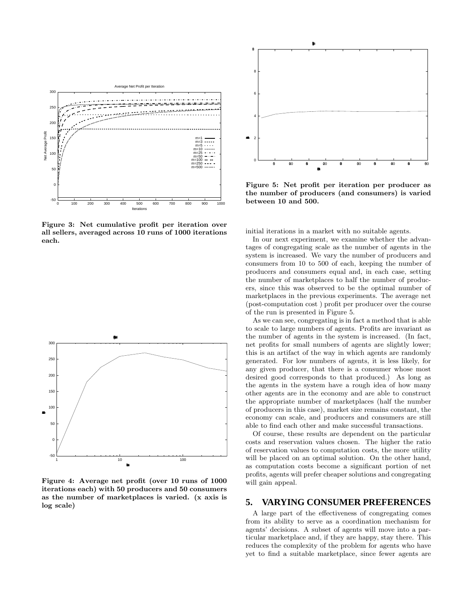

Figure 3: Net cumulative profit per iteration over all sellers, averaged across 10 runs of 1000 iterations each.



Figure 4: Average net profit (over 10 runs of 1000 iterations each) with 50 producers and 50 consumers as the number of marketplaces is varied. (x axis is log scale)



Figure 5: Net profit per iteration per producer as the number of producers (and consumers) is varied between 10 and 500.

initial iterations in a market with no suitable agents.

In our next experiment, we examine whether the advantages of congregating scale as the number of agents in the system is increased. We vary the number of producers and consumers from 10 to 500 of each, keeping the number of producers and consumers equal and, in each case, setting the number of marketplaces to half the number of producers, since this was observed to be the optimal number of marketplaces in the previous experiments. The average net (post-computation cost ) profit per producer over the course of the run is presented in Figure 5.

As we can see, congregating is in fact a method that is able to scale to large numbers of agents. Profits are invariant as the number of agents in the system is increased. (In fact, net profits for small numbers of agents are slightly lower; this is an artifact of the way in which agents are randomly generated. For low numbers of agents, it is less likely, for any given producer, that there is a consumer whose most desired good corresponds to that produced.) As long as the agents in the system have a rough idea of how many other agents are in the economy and are able to construct the appropriate number of marketplaces (half the number of producers in this case), market size remains constant, the economy can scale, and producers and consumers are still able to find each other and make successful transactions.

Of course, these results are dependent on the particular costs and reservation values chosen. The higher the ratio of reservation values to computation costs, the more utility will be placed on an optimal solution. On the other hand, as computation costs become a significant portion of net profits, agents will prefer cheaper solutions and congregating will gain appeal.

#### **5. VARYING CONSUMER PREFERENCES**

A large part of the effectiveness of congregating comes from its ability to serve as a coordination mechanism for agents' decisions. A subset of agents will move into a particular marketplace and, if they are happy, stay there. This reduces the complexity of the problem for agents who have yet to find a suitable marketplace, since fewer agents are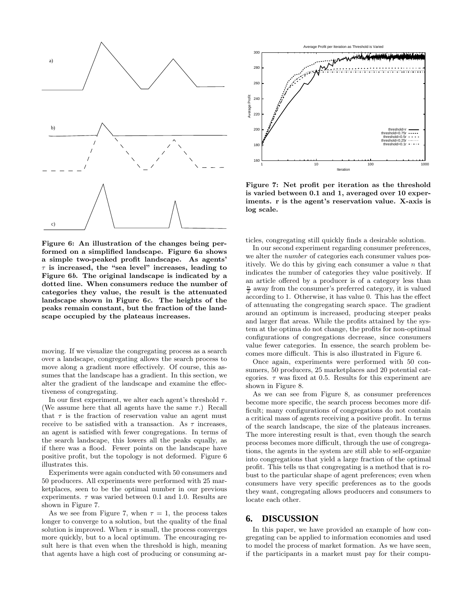

Figure 6: An illustration of the changes being performed on a simplified landscape. Figure 6a shows a simple two-peaked profit landscape. As agents'  $\tau$  is increased, the "sea level" increases, leading to Figure 6b. The original landscape is indicated by a dotted line. When consumers reduce the number of categories they value, the result is the attenuated landscape shown in Figure 6c. The heights of the peaks remain constant, but the fraction of the landscape occupied by the plateaus increases.

moving. If we visualize the congregating process as a search over a landscape, congregating allows the search process to move along a gradient more effectively. Of course, this assumes that the landscape has a gradient. In this section, we alter the gradient of the landscape and examine the effectiveness of congregating.

In our first experiment, we alter each agent's threshold  $\tau$ . (We assume here that all agents have the same  $\tau$ .) Recall that  $\tau$  is the fraction of reservation value an agent must receive to be satisfied with a transaction. As  $\tau$  increases, an agent is satisfied with fewer congregations. In terms of the search landscape, this lowers all the peaks equally, as if there was a flood. Fewer points on the landscape have positive profit, but the topology is not deformed. Figure 6 illustrates this.

Experiments were again conducted with 50 consumers and 50 producers. All experiments were performed with 25 marketplaces, seen to be the optimal number in our previous experiments.  $\tau$  was varied between 0.1 and 1.0. Results are shown in Figure 7.

As we see from Figure 7, when  $\tau = 1$ , the process takes longer to converge to a solution, but the quality of the final solution is improved. When  $\tau$  is small, the process converges more quickly, but to a local optimum. The encouraging result here is that even when the threshold is high, meaning that agents have a high cost of producing or consuming ar-



Figure 7: Net profit per iteration as the threshold is varied between 0.1 and 1, averaged over 10 experiments. r is the agent's reservation value. X-axis is log scale.

ticles, congregating still quickly finds a desirable solution.

In our second experiment regarding consumer preferences, we alter the number of categories each consumer values positively. We do this by giving each consumer a value  $n$  that indicates the number of categories they value positively. If an article offered by a producer is of a category less than  $\frac{n}{2}$  away from the consumer's preferred category, it is valued according to 1. Otherwise, it has value 0. This has the effect of attenuating the congregating search space. The gradient around an optimum is increased, producing steeper peaks and larger flat areas. While the profits attained by the system at the optima do not change, the profits for non-optimal configurations of congregations decrease, since consumers value fewer categories. In essence, the search problem becomes more difficult. This is also illustrated in Figure 6.

Once again, experiments were performed with 50 consumers, 50 producers, 25 marketplaces and 20 potential categories.  $\tau$  was fixed at 0.5. Results for this experiment are shown in Figure 8.

As we can see from Figure 8, as consumer preferences become more specific, the search process becomes more difficult; many configurations of congregations do not contain a critical mass of agents receiving a positive profit. In terms of the search landscape, the size of the plateaus increases. The more interesting result is that, even though the search process becomes more difficult, through the use of congregations, the agents in the system are still able to self-organize into congregations that yield a large fraction of the optimal profit. This tells us that congregating is a method that is robust to the particular shape of agent preferences; even when consumers have very specific preferences as to the goods they want, congregating allows producers and consumers to locate each other.

## **6. DISCUSSION**

In this paper, we have provided an example of how congregating can be applied to information economies and used to model the process of market formation. As we have seen, if the participants in a market must pay for their compu-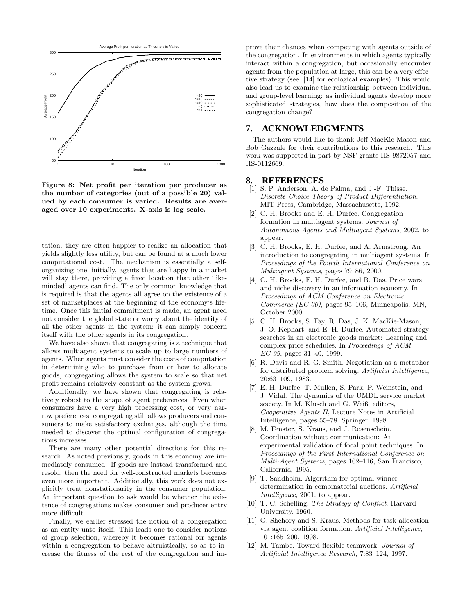

Figure 8: Net profit per iteration per producer as the number of categories (out of a possible 20) valued by each consumer is varied. Results are averaged over 10 experiments. X-axis is log scale.

tation, they are often happier to realize an allocation that yields slightly less utility, but can be found at a much lower computational cost. The mechanism is essentially a selforganizing one; initially, agents that are happy in a market will stay there, providing a fixed location that other 'likeminded' agents can find. The only common knowledge that is required is that the agents all agree on the existence of a set of marketplaces at the beginning of the economy's lifetime. Once this initial commitment is made, an agent need not consider the global state or worry about the identity of all the other agents in the system; it can simply concern itself with the other agents in its congregation.

We have also shown that congregating is a technique that allows multiagent systems to scale up to large numbers of agents. When agents must consider the costs of computation in determining who to purchase from or how to allocate goods, congregating allows the system to scale so that net profit remains relatively constant as the system grows.

Additionally, we have shown that congregating is relatively robust to the shape of agent preferences. Even when consumers have a very high processing cost, or very narrow preferences, congregating still allows producers and consumers to make satisfactory exchanges, although the time needed to discover the optimal configuration of congregations increases.

There are many other potential directions for this research. As noted previously, goods in this economy are immediately consumed. If goods are instead transformed and resold, then the need for well-constructed markets becomes even more important. Additionally, this work does not explicitly treat nonstationarity in the consumer population. An important question to ask would be whether the existence of congregations makes consumer and producer entry more difficult.

Finally, we earlier stressed the notion of a congregation as an entity unto itself. This leads one to consider notions of group selection, whereby it becomes rational for agents within a congregation to behave altruistically, so as to increase the fitness of the rest of the congregation and improve their chances when competing with agents outside of the congregation. In environments in which agents typically interact within a congregation, but occasionally encounter agents from the population at large, this can be a very effective strategy (see [14] for ecological examples). This would also lead us to examine the relationship between individual and group-level learning: as individual agents develop more sophisticated strategies, how does the composition of the congregation change?

# **7. ACKNOWLEDGMENTS**

The authors would like to thank Jeff MacKie-Mason and Bob Gazzale for their contributions to this research. This work was supported in part by NSF grants IIS-9872057 and IIS-0112669.

### **8. REFERENCES**

- [1] S. P. Anderson, A. de Palma, and J.-F. Thisse. Discrete Choice Theory of Product Differentiation. MIT Press, Cambridge, Massachusetts, 1992.
- [2] C. H. Brooks and E. H. Durfee. Congregation formation in multiagent systems. Journal of Autonomous Agents and Multiagent Systems, 2002. to appear.
- [3] C. H. Brooks, E. H. Durfee, and A. Armstrong. An introduction to congregating in multiagent systems. In Proceedings of the Fourth International Conference on Multiagent Systems, pages 79–86, 2000.
- [4] C. H. Brooks, E. H. Durfee, and R. Das. Price wars and niche discovery in an information economy. In Proceedings of ACM Conference on Electronic Commerce (EC-00), pages 95–106, Minneapolis, MN, October 2000.
- [5] C. H. Brooks, S. Fay, R. Das, J. K. MacKie-Mason, J. O. Kephart, and E. H. Durfee. Automated strategy searches in an electronic goods market: Learning and complex price schedules. In Proceedings of ACM EC-99, pages 31–40, 1999.
- [6] R. Davis and R. G. Smith. Negotiation as a metaphor for distributed problem solving. Artificial Intelligence, 20:63–109, 1983.
- [7] E. H. Durfee, T. Mullen, S. Park, P. Weinstein, and J. Vidal. The dynamics of the UMDL service market society. In M. Klusch and G. Weiß, editors, Cooperative Agents II, Lecture Notes in Artificial Intelligence, pages 55–78. Springer, 1998.
- [8] M. Fenster, S. Kraus, and J. Rosenschein. Coordination without communication: An experimental validation of focal point techniques. In Proceedings of the First International Conference on Multi-Agent Systems, pages 102–116, San Francisco, California, 1995.
- [9] T. Sandholm. Algorithm for optimal winner determination in combinatorial auctions. Artificial Intelligence, 2001. to appear.
- [10] T. C. Schelling. The Strategy of Conflict. Harvard University, 1960.
- [11] O. Shehory and S. Kraus. Methods for task allocation via agent coalition formation. Artificial Intelligence, 101:165–200, 1998.
- [12] M. Tambe. Toward flexible teamwork. Journal of Artificial Intelligence Research, 7:83–124, 1997.